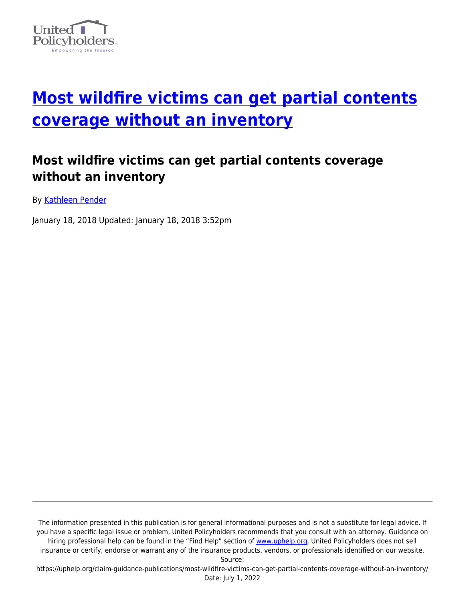

## **[Most wildfire victims can get partial contents](https://uphelp.org/claim-guidance-publications/most-wildfire-victims-can-get-partial-contents-coverage-without-an-inventory/) [coverage without an inventory](https://uphelp.org/claim-guidance-publications/most-wildfire-victims-can-get-partial-contents-coverage-without-an-inventory/)**

## **Most wildfire victims can get partial contents coverage without an inventory**

By [Kathleen Pender](https://www.sfchronicle.com/author/kathleen-pender/)

January 18, 2018 Updated: January 18, 2018 3:52pm

The information presented in this publication is for general informational purposes and is not a substitute for legal advice. If you have a specific legal issue or problem, United Policyholders recommends that you consult with an attorney. Guidance on hiring professional help can be found in the "Find Help" section of [www.uphelp.org.](http://www.uphelp.org/) United Policyholders does not sell insurance or certify, endorse or warrant any of the insurance products, vendors, or professionals identified on our website. Source: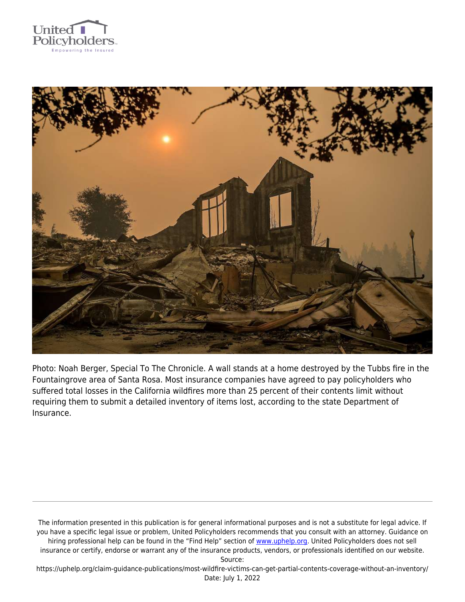



Photo: Noah Berger, Special To The Chronicle. A wall stands at a home destroyed by the Tubbs fire in the Fountaingrove area of Santa Rosa. Most insurance companies have agreed to pay policyholders who suffered total losses in the California wildfires more than 25 percent of their contents limit without requiring them to submit a detailed inventory of items lost, according to the state Department of Insurance.

The information presented in this publication is for general informational purposes and is not a substitute for legal advice. If you have a specific legal issue or problem, United Policyholders recommends that you consult with an attorney. Guidance on hiring professional help can be found in the "Find Help" section of [www.uphelp.org.](http://www.uphelp.org/) United Policyholders does not sell insurance or certify, endorse or warrant any of the insurance products, vendors, or professionals identified on our website. Source: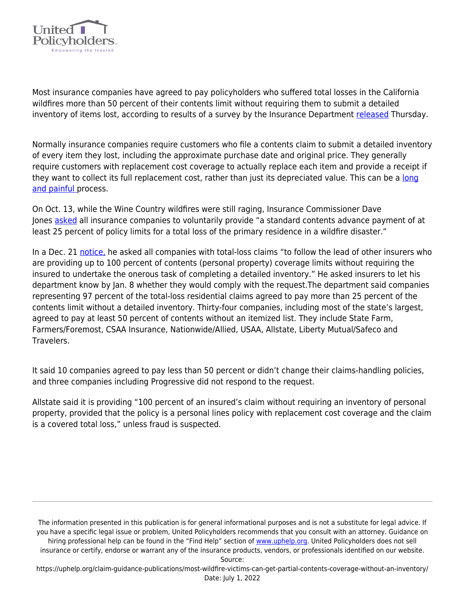

Most insurance companies have agreed to pay policyholders who suffered total losses in the California wildfires more than 50 percent of their contents limit without requiring them to submit a detailed inventory of items lost, according to results of a survey by the Insurance Department [released](https://www.insurance.ca.gov/0400-news/0100-press-releases/2018/release006-18.cfm) Thursday.

Normally insurance companies require customers who file a contents claim to submit a detailed inventory of every item they lost, including the approximate purchase date and original price. They generally require customers with replacement cost coverage to actually replace each item and provide a receipt if they want to collect its full replacement cost, rather than just its depreciated value. This can be a [long](http://www.sfchronicle.com/business/networth/article/For-fire-victims-replacing-lost-things-can-be-12331032.php) [and painful](http://www.sfchronicle.com/business/networth/article/For-fire-victims-replacing-lost-things-can-be-12331032.php) process.

On Oct. 13, while the Wine Country wildfires were still raging, Insurance Commissioner Dave Jones [asked](http://www.insurance.ca.gov/01-consumers/140-catastrophes/upload/2017-CDI-Insurer-Wildfire-Claims_Handling_Reforms_101317.pdf) all insurance companies to voluntarily provide "a standard contents advance payment of at least 25 percent of policy limits for a total loss of the primary residence in a wildfire disaster."

In a Dec. 21 [notice,](http://www.insurance.ca.gov/0250-insurers/0300-insurers/0200-bulletins/bulletin-notices-commiss-opinion/upload/12-21-17-Final-Notice-Inventory-Issue-122117_.pdf) he asked all companies with total-loss claims "to follow the lead of other insurers who are providing up to 100 percent of contents (personal property) coverage limits without requiring the insured to undertake the onerous task of completing a detailed inventory." He asked insurers to let his department know by Jan. 8 whether they would comply with the request.The department said companies representing 97 percent of the total-loss residential claims agreed to pay more than 25 percent of the contents limit without a detailed inventory. Thirty-four companies, including most of the state's largest, agreed to pay at least 50 percent of contents without an itemized list. They include State Farm, Farmers/Foremost, CSAA Insurance, Nationwide/Allied, USAA, Allstate, Liberty Mutual/Safeco and Travelers.

It said 10 companies agreed to pay less than 50 percent or didn't change their claims-handling policies, and three companies including Progressive did not respond to the request.

Allstate said it is providing "100 percent of an insured's claim without requiring an inventory of personal property, provided that the policy is a personal lines policy with replacement cost coverage and the claim is a covered total loss," unless fraud is suspected.

The information presented in this publication is for general informational purposes and is not a substitute for legal advice. If you have a specific legal issue or problem, United Policyholders recommends that you consult with an attorney. Guidance on hiring professional help can be found in the "Find Help" section of [www.uphelp.org.](http://www.uphelp.org/) United Policyholders does not sell insurance or certify, endorse or warrant any of the insurance products, vendors, or professionals identified on our website. Source: